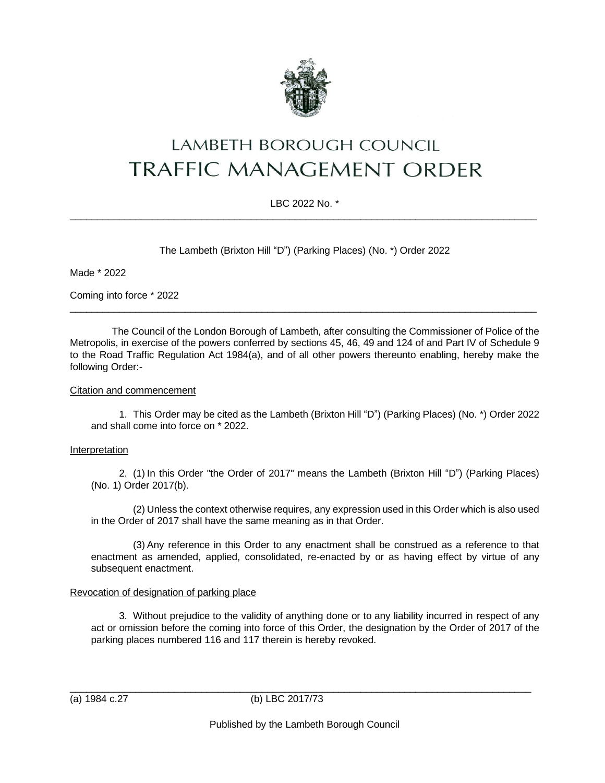

# LAMBETH BOROUGH COUNCIL **TRAFFIC MANAGEMENT ORDER**

# LBC 2022 No. \*  $\_$  ,  $\_$  ,  $\_$  ,  $\_$  ,  $\_$  ,  $\_$  ,  $\_$  ,  $\_$  ,  $\_$  ,  $\_$  ,  $\_$  ,  $\_$  ,  $\_$  ,  $\_$  ,  $\_$  ,  $\_$  ,  $\_$  ,  $\_$  ,  $\_$  ,  $\_$  ,  $\_$  ,  $\_$  ,  $\_$  ,  $\_$  ,  $\_$  ,  $\_$  ,  $\_$  ,  $\_$  ,  $\_$  ,  $\_$  ,  $\_$  ,  $\_$  ,  $\_$  ,  $\_$  ,  $\_$  ,  $\_$  ,  $\_$  ,

The Lambeth (Brixton Hill "D") (Parking Places) (No. \*) Order 2022

Made \* 2022

Coming into force \* 2022

The Council of the London Borough of Lambeth, after consulting the Commissioner of Police of the Metropolis, in exercise of the powers conferred by sections 45, 46, 49 and 124 of and Part IV of Schedule 9 to the Road Traffic Regulation Act 1984(a), and of all other powers thereunto enabling, hereby make the following Order:-

 $\_$  ,  $\_$  ,  $\_$  ,  $\_$  ,  $\_$  ,  $\_$  ,  $\_$  ,  $\_$  ,  $\_$  ,  $\_$  ,  $\_$  ,  $\_$  ,  $\_$  ,  $\_$  ,  $\_$  ,  $\_$  ,  $\_$  ,  $\_$  ,  $\_$  ,  $\_$  ,  $\_$  ,  $\_$  ,  $\_$  ,  $\_$  ,  $\_$  ,  $\_$  ,  $\_$  ,  $\_$  ,  $\_$  ,  $\_$  ,  $\_$  ,  $\_$  ,  $\_$  ,  $\_$  ,  $\_$  ,  $\_$  ,  $\_$  ,

#### Citation and commencement

1. This Order may be cited as the Lambeth (Brixton Hill "D") (Parking Places) (No. \*) Order 2022 and shall come into force on \* 2022.

#### Interpretation

2. (1) In this Order "the Order of 2017" means the Lambeth (Brixton Hill "D") (Parking Places) (No. 1) Order 2017(b).

(2) Unless the context otherwise requires, any expression used in this Order which is also used in the Order of 2017 shall have the same meaning as in that Order.

(3) Any reference in this Order to any enactment shall be construed as a reference to that enactment as amended, applied, consolidated, re-enacted by or as having effect by virtue of any subsequent enactment.

# Revocation of designation of parking place

3. Without prejudice to the validity of anything done or to any liability incurred in respect of any act or omission before the coming into force of this Order, the designation by the Order of 2017 of the parking places numbered 116 and 117 therein is hereby revoked.

\_\_\_\_\_\_\_\_\_\_\_\_\_\_\_\_\_\_\_\_\_\_\_\_\_\_\_\_\_\_\_\_\_\_\_\_\_\_\_\_\_\_\_\_\_\_\_\_\_\_\_\_\_\_\_\_\_\_\_\_\_\_\_\_\_\_\_\_\_\_\_\_\_\_\_\_\_\_\_\_\_\_\_\_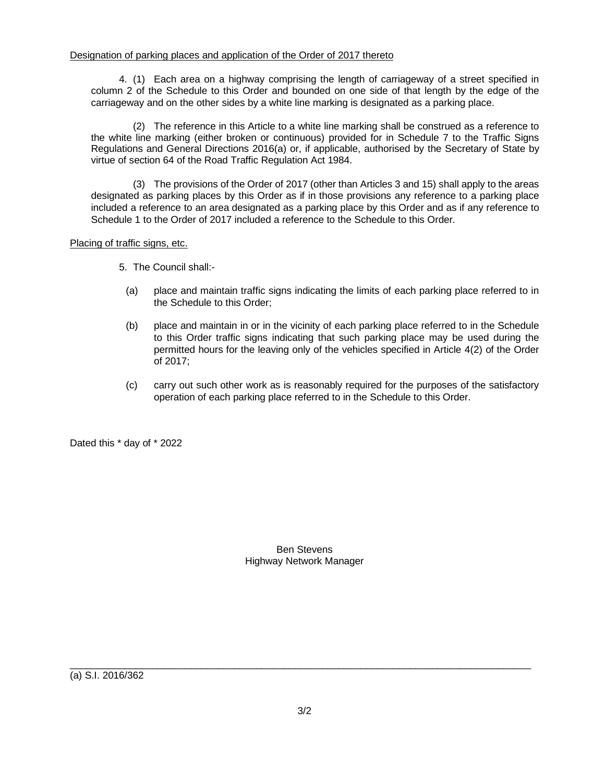4. (1) Each area on a highway comprising the length of carriageway of a street specified in column 2 of the Schedule to this Order and bounded on one side of that length by the edge of the carriageway and on the other sides by a white line marking is designated as a parking place.

(2) The reference in this Article to a white line marking shall be construed as a reference to the white line marking (either broken or continuous) provided for in Schedule 7 to the Traffic Signs Regulations and General Directions 2016(a) or, if applicable, authorised by the Secretary of State by virtue of section 64 of the Road Traffic Regulation Act 1984.

(3) The provisions of the Order of 2017 (other than Articles 3 and 15) shall apply to the areas designated as parking places by this Order as if in those provisions any reference to a parking place included a reference to an area designated as a parking place by this Order and as if any reference to Schedule 1 to the Order of 2017 included a reference to the Schedule to this Order.

## Placing of traffic signs, etc.

- 5. The Council shall:-
	- (a) place and maintain traffic signs indicating the limits of each parking place referred to in the Schedule to this Order;
	- (b) place and maintain in or in the vicinity of each parking place referred to in the Schedule to this Order traffic signs indicating that such parking place may be used during the permitted hours for the leaving only of the vehicles specified in Article 4(2) of the Order of 2017;
	- (c) carry out such other work as is reasonably required for the purposes of the satisfactory operation of each parking place referred to in the Schedule to this Order.

Dated this \* day of \* 2022

## Ben Stevens Highway Network Manager

(a) S.I. 2016/362

 $\_$  , and the set of the set of the set of the set of the set of the set of the set of the set of the set of the set of the set of the set of the set of the set of the set of the set of the set of the set of the set of th